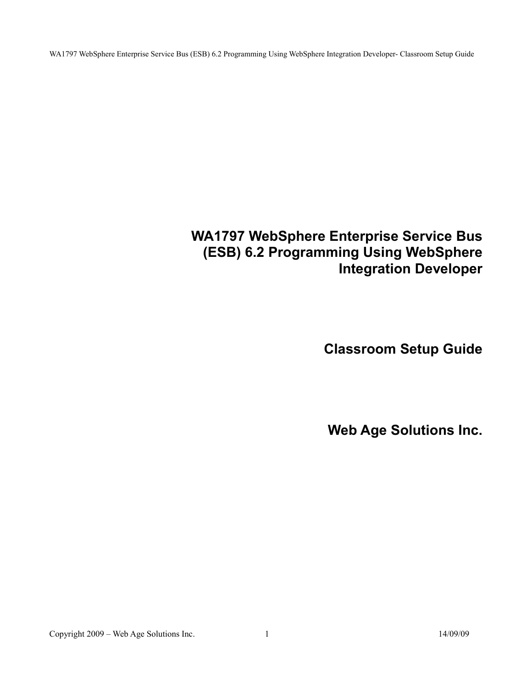# **WA1797 WebSphere Enterprise Service Bus (ESB) 6.2 Programming Using WebSphere Integration Developer**

**Classroom Setup Guide**

**Web Age Solutions Inc.**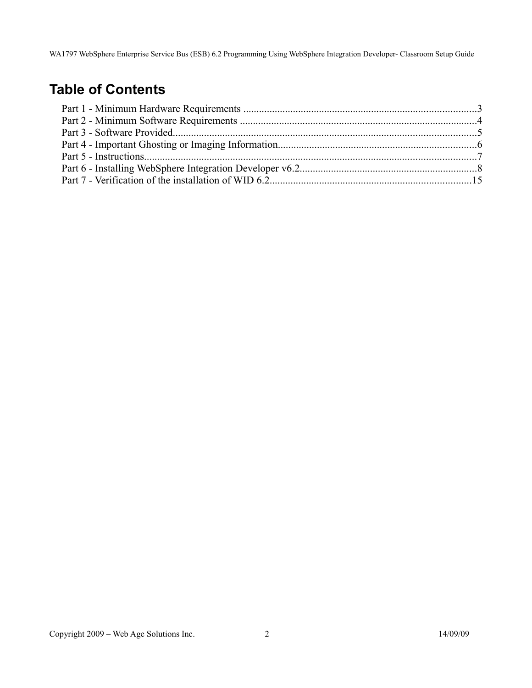# **Table of Contents**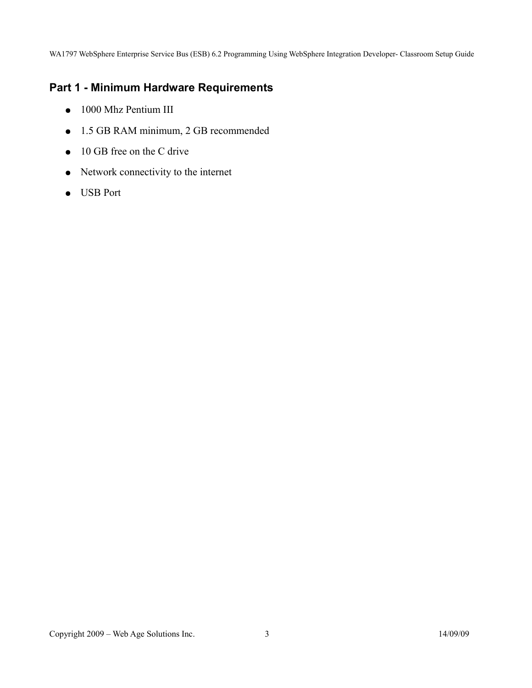## **Part 1 - Minimum Hardware Requirements**

- 1000 Mhz Pentium III
- 1.5 GB RAM minimum, 2 GB recommended
- $\bullet$  10 GB free on the C drive
- Network connectivity to the internet
- USB Port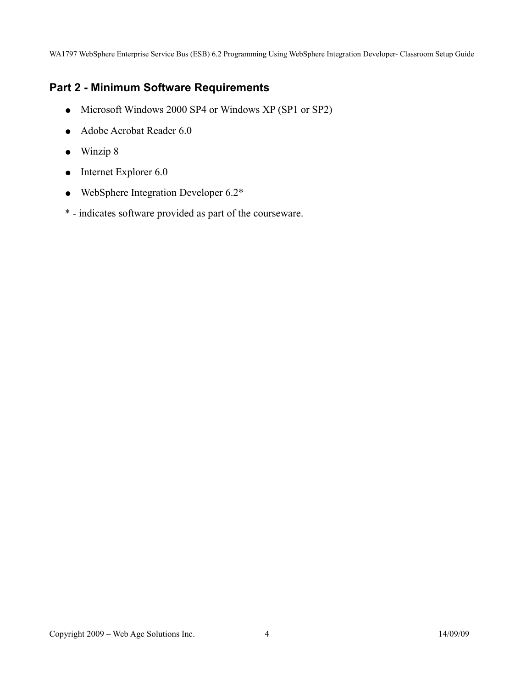#### **Part 2 - Minimum Software Requirements**

- Microsoft Windows 2000 SP4 or Windows XP (SP1 or SP2)
- Adobe Acrobat Reader 6.0
- Winzip 8
- $\bullet$  Internet Explorer 6.0
- WebSphere Integration Developer 6.2\*
- \* indicates software provided as part of the courseware.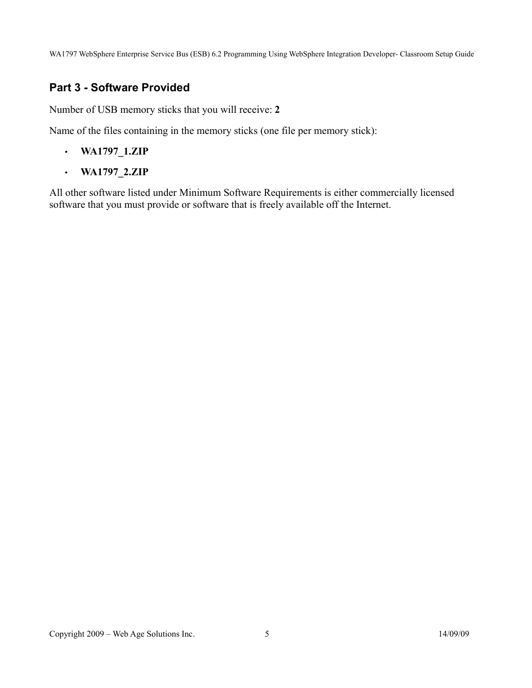#### **Part 3 - Software Provided**

Number of USB memory sticks that you will receive: **2**

Name of the files containing in the memory sticks (one file per memory stick):

- **WA1797\_1.ZIP**
- **WA1797\_2.ZIP**

All other software listed under Minimum Software Requirements is either commercially licensed software that you must provide or software that is freely available off the Internet.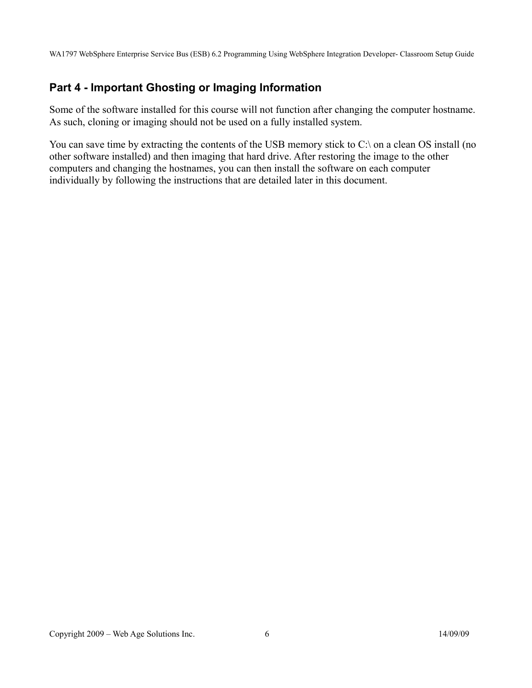## **Part 4 - Important Ghosting or Imaging Information**

Some of the software installed for this course will not function after changing the computer hostname. As such, cloning or imaging should not be used on a fully installed system.

You can save time by extracting the contents of the USB memory stick to C:\ on a clean OS install (no other software installed) and then imaging that hard drive. After restoring the image to the other computers and changing the hostnames, you can then install the software on each computer individually by following the instructions that are detailed later in this document.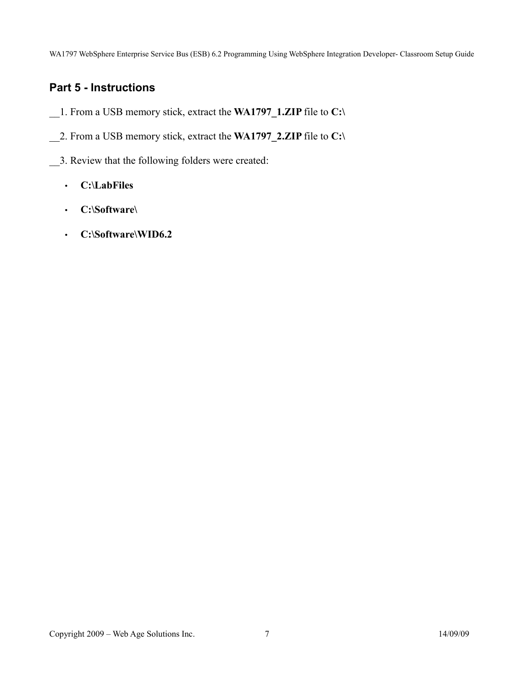## **Part 5 - Instructions**

- \_\_1. From a USB memory stick, extract the **WA1797\_1.ZIP** file to **C:\**
- \_\_2. From a USB memory stick, extract the **WA1797\_2.ZIP** file to **C:\**
- \_\_3. Review that the following folders were created:
	- **C:\LabFiles**
	- **C:\Software\**
	- **C:\Software\WID6.2**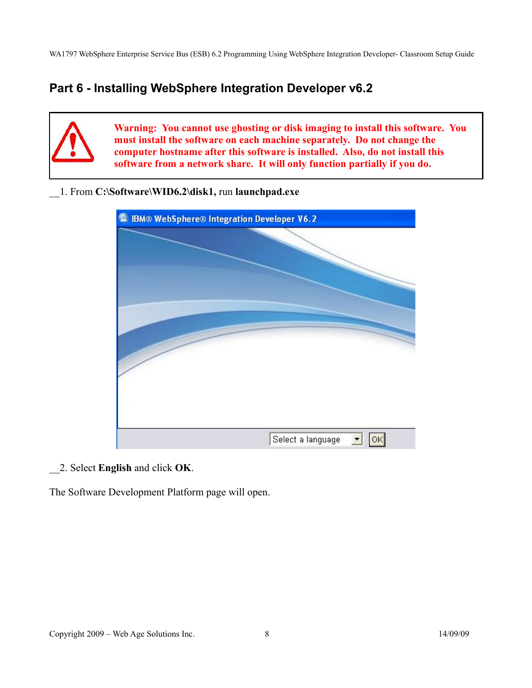## **Part 6 - Installing WebSphere Integration Developer v6.2**

**Warning: You cannot use ghosting or disk imaging to install this software. You must install the software on each machine separately. Do not change the computer hostname after this software is installed. Also, do not install this software from a network share. It will only function partially if you do.** 

\_\_1. From **C:\Software\WID6.2\disk1,** run **launchpad.exe**



\_\_2. Select **English** and click **OK**.

The Software Development Platform page will open.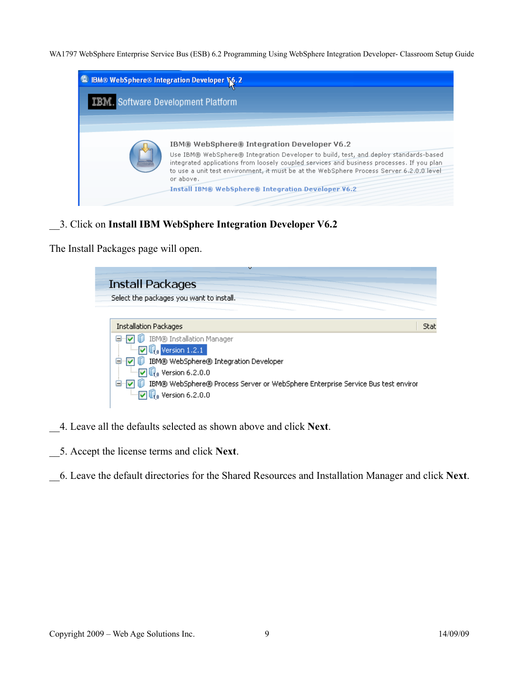| <sup>1</sup> IBM® WebSphere® Integration Developer V6.2 |                                                                                                                                                                                                                                                                                                                                                                                                       |
|---------------------------------------------------------|-------------------------------------------------------------------------------------------------------------------------------------------------------------------------------------------------------------------------------------------------------------------------------------------------------------------------------------------------------------------------------------------------------|
| <b>IBM.</b> Software Development Platform               |                                                                                                                                                                                                                                                                                                                                                                                                       |
|                                                         |                                                                                                                                                                                                                                                                                                                                                                                                       |
|                                                         | IBM® WebSphere® Integration Developer V6.2<br>Use IBM® WebSphere® Integration Developer to build, test, and deploy standards-based<br>integrated applications from loosely coupled services and business processes. If you plan<br>to use a unit test environment, it must be at the WebSphere Process Server 6,2,0,0 level<br>or above.<br><b>Install IBM® WebSphere® Integration Developer V6.2</b> |

\_\_3. Click on **Install IBM WebSphere Integration Developer V6.2**

The Install Packages page will open.

| <b>Install Packages</b>                                                                        |      |
|------------------------------------------------------------------------------------------------|------|
| Select the packages you want to install.                                                       |      |
|                                                                                                |      |
| <b>Installation Packages</b>                                                                   | Stat |
| □…☑ 1D IBM® Installation Manager<br>$\blacksquare$ $\blacksquare$ $\blacksquare$ Version 1.2.1 |      |
| <b>D</b> IBM® WebSphere® Integration Developer<br>⊟…IV                                         |      |
| $\Box$ $\Box$ $\Box$ Version 6.2.0.0                                                           |      |
| IBM® WebSphere® Process Server or WebSphere Enterprise Service Bus test enviror<br>⊟…⊽         |      |
| $\Box$ $\Box$ Version 6.2.0.0                                                                  |      |
|                                                                                                |      |

- \_\_4. Leave all the defaults selected as shown above and click **Next**.
- \_\_5. Accept the license terms and click **Next**.
- \_\_6. Leave the default directories for the Shared Resources and Installation Manager and click **Next**.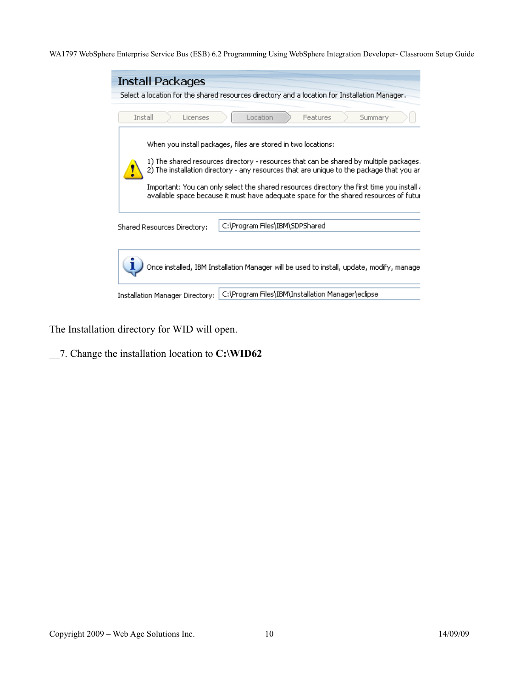| <b>Install Packages</b>         | Select a location for the shared resources directory and a location for Installation Manager.                                                                                                                                                                                                                                                                                                                                                       |
|---------------------------------|-----------------------------------------------------------------------------------------------------------------------------------------------------------------------------------------------------------------------------------------------------------------------------------------------------------------------------------------------------------------------------------------------------------------------------------------------------|
| Install<br>Licenses             | Location<br>Features<br>Summary                                                                                                                                                                                                                                                                                                                                                                                                                     |
|                                 | When you install packages, files are stored in two locations:<br>1) The shared resources directory - resources that can be shared by multiple packages.<br>2) The installation directory - any resources that are unique to the package that you ar<br>Important: You can only select the shared resources directory the first time you install $\epsilon$<br>available space because it must have adequate space for the shared resources of futur |
| Shared Resources Directory:     | C:\Program Files\IBM\SDPShared                                                                                                                                                                                                                                                                                                                                                                                                                      |
|                                 | Once installed, IBM Installation Manager will be used to install, update, modify, manage                                                                                                                                                                                                                                                                                                                                                            |
| Installation Manager Directory: | C:\Program Files\IBM\Installation Manager\eclipse                                                                                                                                                                                                                                                                                                                                                                                                   |

The Installation directory for WID will open.

\_\_7. Change the installation location to **C:\WID62**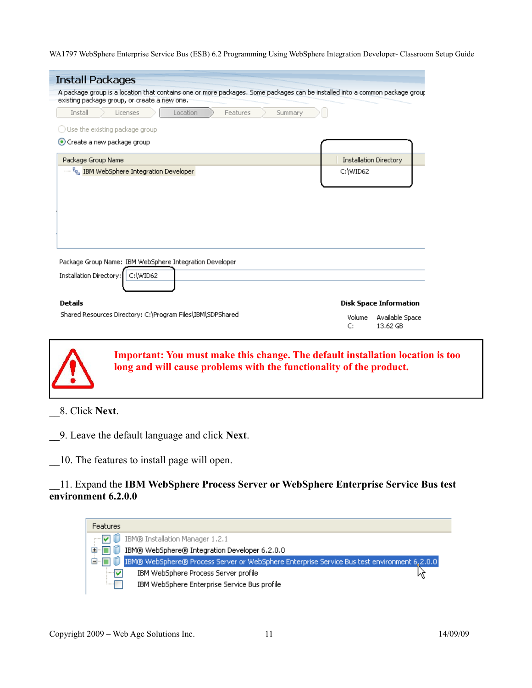| Location<br>Summary<br>Install<br>Features<br>Licenses<br>$\bigcirc$ Use the existing package group<br>Create a new package group<br><b>Installation Directory</b><br>Package Group Name<br>""" <sup>P</sup> eg IBM WebSphere Integration Developer<br>C:\WID62<br>Package Group Name: IBM WebSphere Integration Developer<br>Installation Directory:<br>C:\WID62 |                               |
|-------------------------------------------------------------------------------------------------------------------------------------------------------------------------------------------------------------------------------------------------------------------------------------------------------------------------------------------------------------------|-------------------------------|
|                                                                                                                                                                                                                                                                                                                                                                   |                               |
|                                                                                                                                                                                                                                                                                                                                                                   |                               |
|                                                                                                                                                                                                                                                                                                                                                                   |                               |
|                                                                                                                                                                                                                                                                                                                                                                   |                               |
|                                                                                                                                                                                                                                                                                                                                                                   |                               |
|                                                                                                                                                                                                                                                                                                                                                                   |                               |
|                                                                                                                                                                                                                                                                                                                                                                   |                               |
|                                                                                                                                                                                                                                                                                                                                                                   |                               |
|                                                                                                                                                                                                                                                                                                                                                                   |                               |
|                                                                                                                                                                                                                                                                                                                                                                   |                               |
|                                                                                                                                                                                                                                                                                                                                                                   |                               |
|                                                                                                                                                                                                                                                                                                                                                                   |                               |
|                                                                                                                                                                                                                                                                                                                                                                   |                               |
|                                                                                                                                                                                                                                                                                                                                                                   |                               |
|                                                                                                                                                                                                                                                                                                                                                                   |                               |
|                                                                                                                                                                                                                                                                                                                                                                   |                               |
|                                                                                                                                                                                                                                                                                                                                                                   |                               |
| <b>Details</b>                                                                                                                                                                                                                                                                                                                                                    |                               |
|                                                                                                                                                                                                                                                                                                                                                                   |                               |
|                                                                                                                                                                                                                                                                                                                                                                   | <b>Disk Space Information</b> |
|                                                                                                                                                                                                                                                                                                                                                                   |                               |
|                                                                                                                                                                                                                                                                                                                                                                   |                               |
|                                                                                                                                                                                                                                                                                                                                                                   |                               |
|                                                                                                                                                                                                                                                                                                                                                                   |                               |
|                                                                                                                                                                                                                                                                                                                                                                   |                               |
|                                                                                                                                                                                                                                                                                                                                                                   |                               |
|                                                                                                                                                                                                                                                                                                                                                                   |                               |
|                                                                                                                                                                                                                                                                                                                                                                   |                               |
|                                                                                                                                                                                                                                                                                                                                                                   |                               |
|                                                                                                                                                                                                                                                                                                                                                                   |                               |
|                                                                                                                                                                                                                                                                                                                                                                   |                               |
| Shared Resources Directory: C:\Program Files\IBM\SDPShared                                                                                                                                                                                                                                                                                                        |                               |
| Volume<br>Available Space                                                                                                                                                                                                                                                                                                                                         |                               |



**Important: You must make this change. The default installation location is too long and will cause problems with the functionality of the product.**

\_\_8. Click **Next**.

\_\_9. Leave the default language and click **Next**.

\_\_10. The features to install page will open.

#### \_\_11. Expand the **IBM WebSphere Process Server or WebSphere Enterprise Service Bus test environment 6.2.0.0**

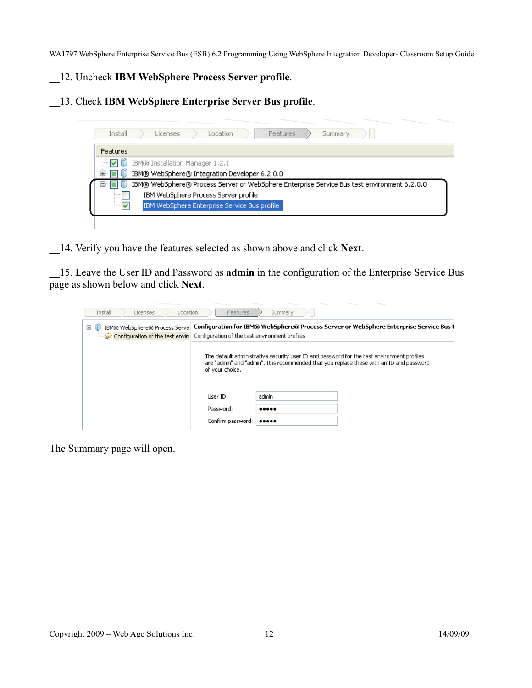#### \_\_12. Uncheck **IBM WebSphere Process Server profile**.

\_\_13. Check **IBM WebSphere Enterprise Server Bus profile**.



\_\_14. Verify you have the features selected as shown above and click **Next**.

\_\_15. Leave the User ID and Password as **admin** in the configuration of the Enterprise Service Bus page as shown below and click **Next**.

| Install<br>Licenses<br>Location                                        | Features                                                                                                                                 | Summary |                                                                                                                                                                                         |  |  |  |  |
|------------------------------------------------------------------------|------------------------------------------------------------------------------------------------------------------------------------------|---------|-----------------------------------------------------------------------------------------------------------------------------------------------------------------------------------------|--|--|--|--|
| IBM® WebSphere® Process Serve<br>Θ<br>Configuration of the test enviro | Configuration for IBM® WebSphere® Process Server or WebSphere Enterprise Service Bus I<br>Configuration of the test environment profiles |         |                                                                                                                                                                                         |  |  |  |  |
|                                                                        | of your choice.                                                                                                                          |         | The default administrative security user ID and password for the test environment profiles<br>are "admin" and "admin". It is recommended that you replace these with an ID and password |  |  |  |  |
|                                                                        | User ID:                                                                                                                                 | admin   |                                                                                                                                                                                         |  |  |  |  |
|                                                                        | Password:                                                                                                                                |         |                                                                                                                                                                                         |  |  |  |  |
|                                                                        | Confirm password:                                                                                                                        |         |                                                                                                                                                                                         |  |  |  |  |

The Summary page will open.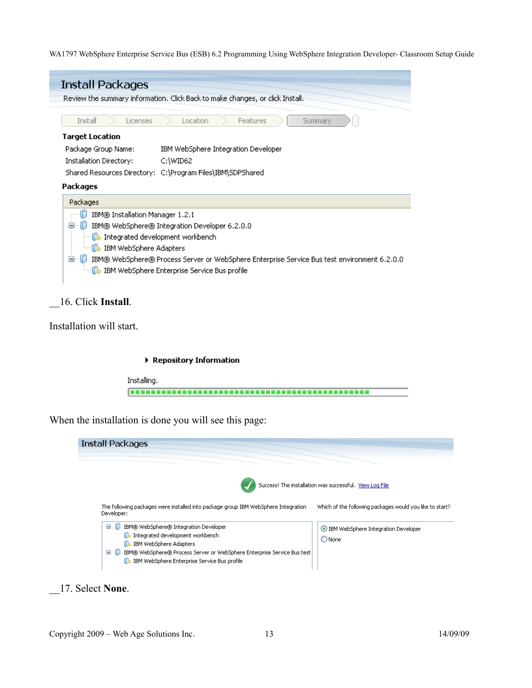

#### \_\_16. Click **Install**.

Installation will start.

#### Repository Information

Installing. **BERREE** 

When the installation is done you will see this page:

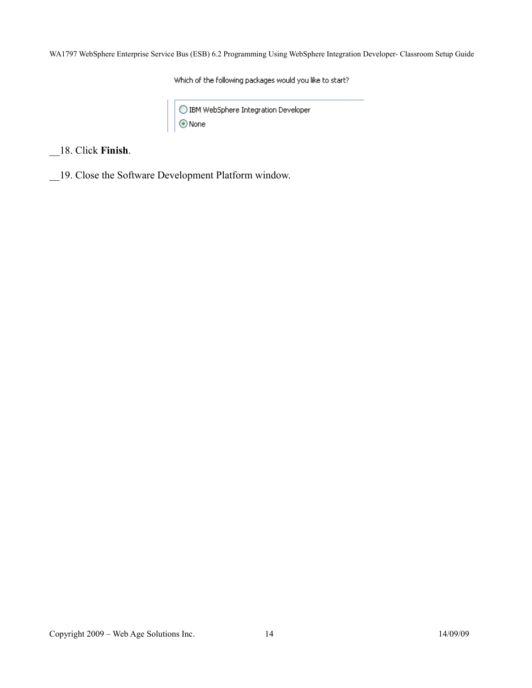Which of the following packages would you like to start?

 $\bigcirc$  IBM WebSphere Integration Developer<br> $\bigcirc$  None

\_\_18. Click **Finish**.

\_\_19. Close the Software Development Platform window.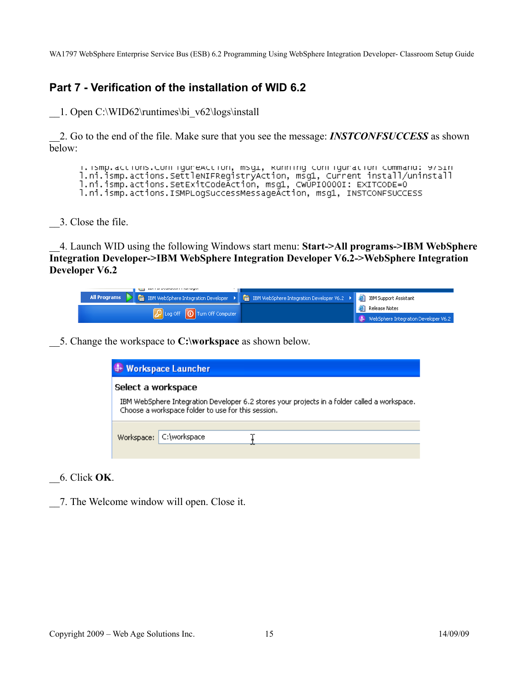#### **Part 7 - Verification of the installation of WID 6.2**

\_\_1. Open C:\WID62\runtimes\bi\_v62\logs\install

\_\_2. Go to the end of the file. Make sure that you see the message: *INSTCONFSUCCESS* as shown below:

i.ismp.actions.com/iguneAction, msg1, Running com/igunation/command: 9751n<br>].ni.ismp.actions.settleNIFRegistryAction, msg1, Cunnent install/uninstall ].ni.ismp.actions.setExitCodeAction, msg1, CWUPI0000I: EXITCODE=0 l.ni.ismp.actions.ISMPLogSuccessMessageAction, msg1, INSTCONFSUCCESS

\_\_3. Close the file.

\_\_4. Launch WID using the following Windows start menu: **Start->All programs->IBM WebSphere Integration Developer->IBM WebSphere Integration Developer V6.2->WebSphere Integration Developer V6.2**

| THE REPORT FOR STATE AND RELEASE.                                                                                              |                                                     |
|--------------------------------------------------------------------------------------------------------------------------------|-----------------------------------------------------|
| All Programs   Gu IBM WebSphere Integration Developer   Gu IBM WebSphere Integration Developer V6.2   Gu IBM Support Assistant |                                                     |
|                                                                                                                                | <b>A</b> Release Notes                              |
| Duog Off   10 Turn Off Computer                                                                                                | $\leftarrow$ + WebSphere Integration Developer V6.2 |

\_\_5. Change the workspace to **C:\workspace** as shown below.



\_\_6. Click **OK**.

\_\_7. The Welcome window will open. Close it.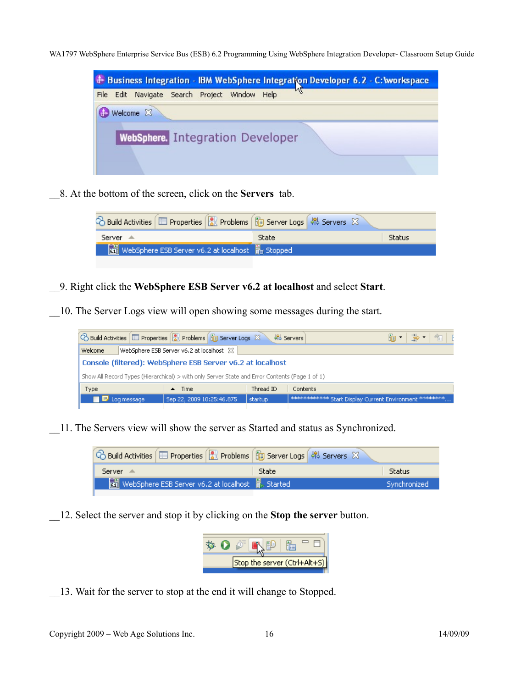|  | <b>+ Business Integration - IBM WebSphere Integration Developer 6.2 - C: workspace</b> |  |        |      |   |  |  |
|--|----------------------------------------------------------------------------------------|--|--------|------|---|--|--|
|  | File Edit Navigate Search Project                                                      |  | Window | Help | w |  |  |
|  | Welcome 23                                                                             |  |        |      |   |  |  |
|  | <b>WebSphere.</b> Integration Developer                                                |  |        |      |   |  |  |
|  |                                                                                        |  |        |      |   |  |  |

\_\_8. At the bottom of the screen, click on the **Servers** tab.

| े Build Activities   □ Properties   ति Problems   हिन् Server Logs   की Servers X |              |        |
|-----------------------------------------------------------------------------------|--------------|--------|
| Server ≜                                                                          | <b>State</b> | Status |
| webSphere ESB Server v6.2 at localhost Fra Stopped                                |              |        |

\_\_9. Right click the **WebSphere ESB Server v6.2 at localhost** and select **Start**.

\_\_10. The Server Logs view will open showing some messages during the start.



\_\_11. The Servers view will show the server as Started and status as Synchronized.

| <b>C</b> Build Activities   □ Properties   <mark>○</mark> Problems   圖 Server Logs   해 Servers $\boxtimes$ |                                                                 |              |              |
|------------------------------------------------------------------------------------------------------------|-----------------------------------------------------------------|--------------|--------------|
| Server $\triangle$                                                                                         |                                                                 | <b>State</b> | Status       |
|                                                                                                            | Real WebSphere ESB Server v6.2 at localhost <b>Real Started</b> |              | Synchronized |
|                                                                                                            |                                                                 |              |              |

\_\_12. Select the server and stop it by clicking on the **Stop the server** button.



\_\_13. Wait for the server to stop at the end it will change to Stopped.